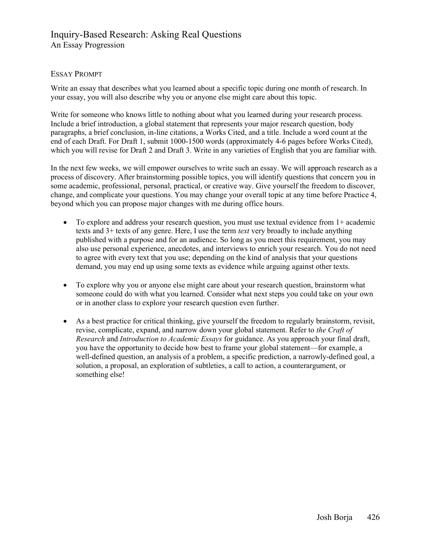# Inquiry-Based Research: Asking Real Questions An Essay Progression

## ESSAY PROMPT

Write an essay that describes what you learned about a specific topic during one month of research. In your essay, you will also describe why you or anyone else might care about this topic.

Write for someone who knows little to nothing about what you learned during your research process. Include a brief introduction, a global statement that represents your major research question, body paragraphs, a brief conclusion, in-line citations, a Works Cited, and a title. Include a word count at the end of each Draft. For Draft 1, submit 1000-1500 words (approximately 4-6 pages before Works Cited), which you will revise for Draft 2 and Draft 3. Write in any varieties of English that you are familiar with.

In the next few weeks, we will empower ourselves to write such an essay. We will approach research as a process of discovery. After brainstorming possible topics, you will identify questions that concern you in some academic, professional, personal, practical, or creative way. Give yourself the freedom to discover, change, and complicate your questions. You may change your overall topic at any time before Practice 4, beyond which you can propose major changes with me during office hours.

- To explore and address your research question, you must use textual evidence from 1+ academic texts and 3+ texts of any genre. Here, I use the term *text* very broadly to include anything published with a purpose and for an audience. So long as you meet this requirement, you may also use personal experience, anecdotes, and interviews to enrich your research. You do not need to agree with every text that you use; depending on the kind of analysis that your questions demand, you may end up using some texts as evidence while arguing against other texts.
- To explore why you or anyone else might care about your research question, brainstorm what someone could do with what you learned. Consider what next steps you could take on your own or in another class to explore your research question even further.
- As a best practice for critical thinking, give yourself the freedom to regularly brainstorm, revisit, revise, complicate, expand, and narrow down your global statement. Refer to the Craft of Research and Introduction to Academic Essays for guidance. As you approach your final draft, you have the opportunity to decide how best to frame your global statement—for example, a well-defined question, an analysis of a problem, a specific prediction, a narrowly-defined goal, a solution, a proposal, an exploration of subtleties, a call to action, a counterargument, or something else!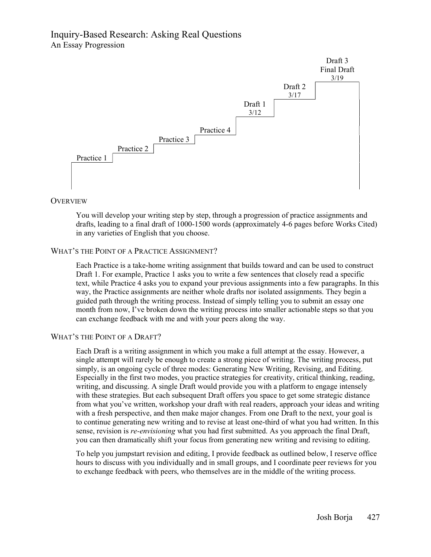# Inquiry-Based Research: Asking Real Questions An Essay Progression



### **OVERVIEW**

You will develop your writing step by step, through a progression of practice assignments and drafts, leading to a final draft of 1000-1500 words (approximately 4-6 pages before Works Cited) in any varieties of English that you choose.

# WHAT'S THE POINT OF A PRACTICE ASSIGNMENT?

Each Practice is a take-home writing assignment that builds toward and can be used to construct Draft 1. For example, Practice 1 asks you to write a few sentences that closely read a specific text, while Practice 4 asks you to expand your previous assignments into a few paragraphs. In this way, the Practice assignments are neither whole drafts nor isolated assignments. They begin a guided path through the writing process. Instead of simply telling you to submit an essay one month from now, I've broken down the writing process into smaller actionable steps so that you can exchange feedback with me and with your peers along the way.

## WHAT'S THE POINT OF A DRAFT?

Each Draft is a writing assignment in which you make a full attempt at the essay. However, a single attempt will rarely be enough to create a strong piece of writing. The writing process, put simply, is an ongoing cycle of three modes: Generating New Writing, Revising, and Editing. Especially in the first two modes, you practice strategies for creativity, critical thinking, reading, writing, and discussing. A single Draft would provide you with a platform to engage intensely with these strategies. But each subsequent Draft offers you space to get some strategic distance from what you've written, workshop your draft with real readers, approach your ideas and writing with a fresh perspective, and then make major changes. From one Draft to the next, your goal is to continue generating new writing and to revise at least one-third of what you had written. In this sense, revision is *re-envisioning* what you had first submitted. As you approach the final Draft, you can then dramatically shift your focus from generating new writing and revising to editing.

To help you jumpstart revision and editing, I provide feedback as outlined below, I reserve office hours to discuss with you individually and in small groups, and I coordinate peer reviews for you to exchange feedback with peers, who themselves are in the middle of the writing process.